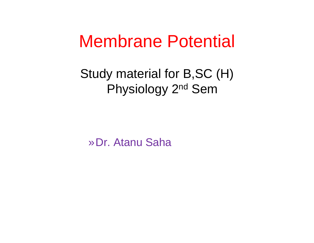# Membrane Potential

Study material for B,SC (H) Physiology 2nd Sem

»Dr. Atanu Saha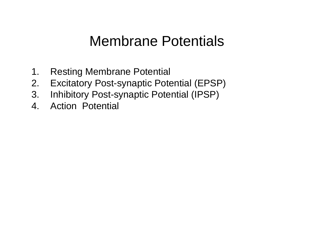### Membrane Potentials

- 1. Restin g Membrane Potential
- 2. Excitatory Post-synaptic Potential (EPSP)
- 3. Inhibitory Post-synaptic Potential (IPSP)
- 4.Action Potential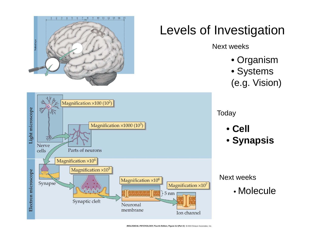

BIOLOGICAL PSYCHOLOGY, Fourth Edition, Figure 2.2 (Part 2) @ 2004 Sinauer Associates, Inc.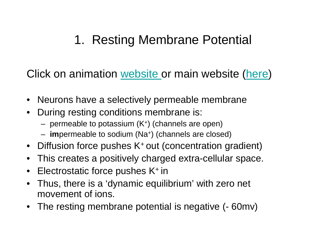### 1. Resting Membrane Potential g

Click on animation <u>website or main website (here</u>)

- Neurons have a selectively permeable membrane
- $\bullet$  During resting conditions membrane is:
	- permeable to potassium (K+) (channels are open)
	- i**m**permeable to sodium (Na+) (channels are closed)
- Diffusion force pushes K<sup>+</sup> out (concentration gradient)
- This creates a positively charged extra-cellular space.
- $\bullet$ Electrostatic force pushes K+ in
- Thus, there is a 'dynamic equilibrium' with zero net movement of ions.
- The resting membrane potential is negative (- 60mv)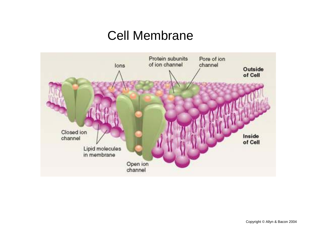#### Cell Membrane

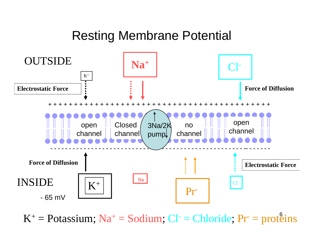#### Resting Membrane Potential



 $K^+$  = Potassium; Na<sup>+</sup> = Sodium; Cl<sup>-</sup> = Chloride; Pr<sup>-</sup> = prote  $^+=$  Potassium; Na<sup>+</sup> = Sodium; Cl<sup>-</sup> = Chloride; Pr<sup>-</sup> = proteins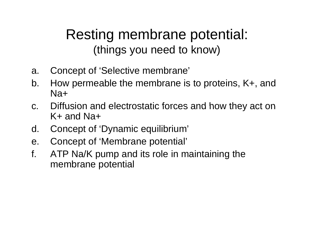### Resting membrane potential: (things you need to know)

- a. Conce pt of 'Selective membrane'
- b. How permeable the membrane is to proteins, K+, and Na+
- c. Diffusion and electrostatic forces and how they act on K+ and Na+
- d. Concept of 'Dynamic equilibrium'
- e. Concept of 'Membrane potential'
- f. ATP Na/K pump and its role in maintaining the membrane potential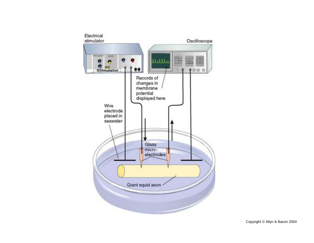

Copyright © Allyn & Bacon 2004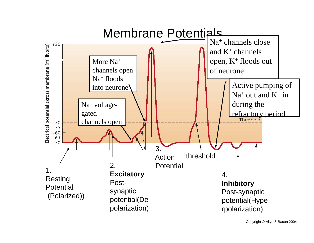

Copyright © Allyn & Bacon 2004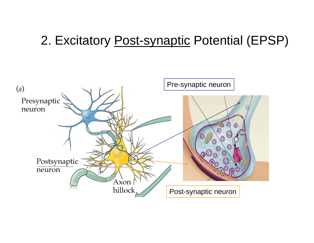#### 2. Excitatory Post-synaptic Potential (EPSP)

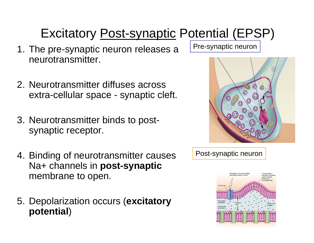# Excitatory Post-synaptic Potential (EPSP)

- 1. The pre-synaptic neuron releases a neurotransmitter.
- 2. Neurotransmitter diffuses across extra-cellular space - synaptic cleft.
- 3. Neurotransmitter binds to postsynaptic receptor.
- 4. Binding of neurotransmitter causes Na+ channels in **post-synaptic** in**post synaptic**membrane to open.
- 5. Depolarization occurs (excitatory **potential**)

Pre-synaptic neuron





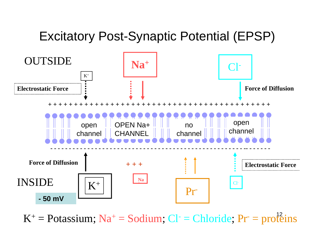### Excitatory Post-Synaptic Potential (EPSP)



 $K^+$  = Potassium; Na<sup>+</sup> = Sodium; Cl<sup>-</sup> = Chloride; Pr<sup>-</sup> = prote  $^+=$  Potassium;  $Na^+=$  Sodium;  $Cl^-=$  Chloride;  $Pr^-=$  proteins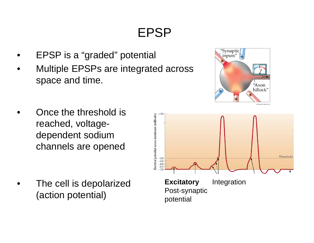## EPSP

- •EPSP is a "graded" potential
- • Multiple EPSPs are integrated across space and time.
- • Once the threshold is reached, voltagedependent sodium channels are opened

• The cell is depolarized **Excitatory** Integration (action potential)